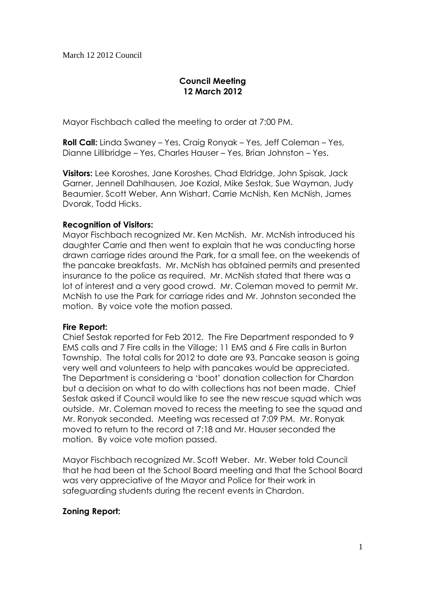# **Council Meeting 12 March 2012**

Mayor Fischbach called the meeting to order at 7:00 PM.

**Roll Call:** Linda Swaney – Yes, Craig Ronyak – Yes, Jeff Coleman – Yes, Dianne Lillibridge – Yes, Charles Hauser – Yes, Brian Johnston – Yes.

**Visitors:** Lee Koroshes, Jane Koroshes, Chad Eldridge, John Spisak, Jack Garner, Jennell Dahlhausen, Joe Kozial, Mike Sestak, Sue Wayman, Judy Beaumier, Scott Weber, Ann Wishart, Carrie McNish, Ken McNish, James Dvorak, Todd Hicks.

### **Recognition of Visitors:**

Mayor Fischbach recognized Mr. Ken McNish. Mr. McNish introduced his daughter Carrie and then went to explain that he was conducting horse drawn carriage rides around the Park, for a small fee, on the weekends of the pancake breakfasts. Mr. McNish has obtained permits and presented insurance to the police as required. Mr. McNish stated that there was a lot of interest and a very good crowd. Mr. Coleman moved to permit Mr. McNish to use the Park for carriage rides and Mr. Johnston seconded the motion. By voice vote the motion passed.

#### **Fire Report:**

Chief Sestak reported for Feb 2012. The Fire Department responded to 9 EMS calls and 7 Fire calls in the Village; 11 EMS and 6 Fire calls in Burton Township. The total calls for 2012 to date are 93. Pancake season is going very well and volunteers to help with pancakes would be appreciated. The Department is considering a 'boot' donation collection for Chardon but a decision on what to do with collections has not been made. Chief Sestak asked if Council would like to see the new rescue squad which was outside. Mr. Coleman moved to recess the meeting to see the squad and Mr. Ronyak seconded. Meeting was recessed at 7:09 PM. Mr. Ronyak moved to return to the record at 7:18 and Mr. Hauser seconded the motion. By voice vote motion passed.

Mayor Fischbach recognized Mr. Scott Weber. Mr. Weber told Council that he had been at the School Board meeting and that the School Board was very appreciative of the Mayor and Police for their work in safeguarding students during the recent events in Chardon.

## **Zoning Report:**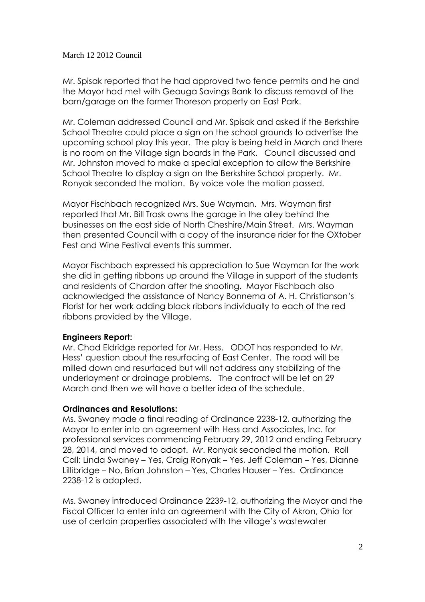Mr. Spisak reported that he had approved two fence permits and he and the Mayor had met with Geauga Savings Bank to discuss removal of the barn/garage on the former Thoreson property on East Park.

Mr. Coleman addressed Council and Mr. Spisak and asked if the Berkshire School Theatre could place a sign on the school grounds to advertise the upcoming school play this year. The play is being held in March and there is no room on the Village sign boards in the Park. Council discussed and Mr. Johnston moved to make a special exception to allow the Berkshire School Theatre to display a sign on the Berkshire School property. Mr. Ronyak seconded the motion. By voice vote the motion passed.

Mayor Fischbach recognized Mrs. Sue Wayman. Mrs. Wayman first reported that Mr. Bill Trask owns the garage in the alley behind the businesses on the east side of North Cheshire/Main Street. Mrs. Wayman then presented Council with a copy of the insurance rider for the OXtober Fest and Wine Festival events this summer.

Mayor Fischbach expressed his appreciation to Sue Wayman for the work she did in getting ribbons up around the Village in support of the students and residents of Chardon after the shooting. Mayor Fischbach also acknowledged the assistance of Nancy Bonnema of A. H. Christianson's Florist for her work adding black ribbons individually to each of the red ribbons provided by the Village.

## **Engineers Report:**

Mr. Chad Eldridge reported for Mr. Hess. ODOT has responded to Mr. Hess' question about the resurfacing of East Center. The road will be milled down and resurfaced but will not address any stabilizing of the underlayment or drainage problems. The contract will be let on 29 March and then we will have a better idea of the schedule.

#### **Ordinances and Resolutions:**

Ms. Swaney made a final reading of Ordinance 2238-12, authorizing the Mayor to enter into an agreement with Hess and Associates, Inc. for professional services commencing February 29, 2012 and ending February 28, 2014, and moved to adopt. Mr. Ronyak seconded the motion. Roll Call: Linda Swaney – Yes, Craig Ronyak – Yes, Jeff Coleman – Yes, Dianne Lillibridge – No, Brian Johnston – Yes, Charles Hauser – Yes. Ordinance 2238-12 is adopted.

Ms. Swaney introduced Ordinance 2239-12, authorizing the Mayor and the Fiscal Officer to enter into an agreement with the City of Akron, Ohio for use of certain properties associated with the village's wastewater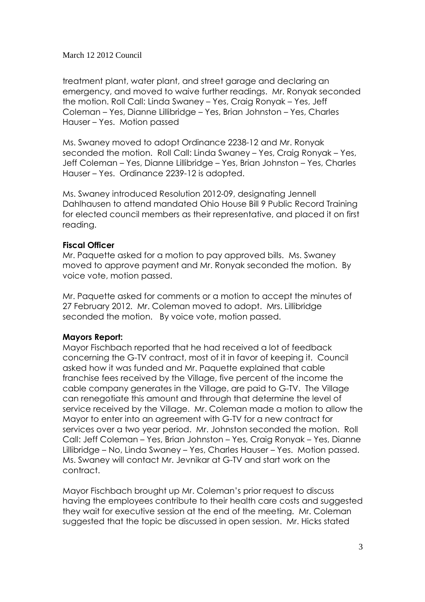treatment plant, water plant, and street garage and declaring an emergency, and moved to waive further readings. Mr. Ronyak seconded the motion. Roll Call: Linda Swaney – Yes, Craig Ronyak – Yes, Jeff Coleman – Yes, Dianne Lillibridge – Yes, Brian Johnston – Yes, Charles Hauser – Yes. Motion passed

Ms. Swaney moved to adopt Ordinance 2238-12 and Mr. Ronyak seconded the motion. Roll Call: Linda Swaney – Yes, Craig Ronyak – Yes, Jeff Coleman – Yes, Dianne Lillibridge – Yes, Brian Johnston – Yes, Charles Hauser – Yes. Ordinance 2239-12 is adopted.

Ms. Swaney introduced Resolution 2012-09, designating Jennell Dahlhausen to attend mandated Ohio House Bill 9 Public Record Training for elected council members as their representative, and placed it on first reading.

## **Fiscal Officer**

Mr. Paquette asked for a motion to pay approved bills. Ms. Swaney moved to approve payment and Mr. Ronyak seconded the motion. By voice vote, motion passed.

Mr. Paquette asked for comments or a motion to accept the minutes of 27 February 2012. Mr. Coleman moved to adopt. Mrs. Lillibridge seconded the motion. By voice vote, motion passed.

## **Mayors Report:**

Mayor Fischbach reported that he had received a lot of feedback concerning the G-TV contract, most of it in favor of keeping it. Council asked how it was funded and Mr. Paquette explained that cable franchise fees received by the Village, five percent of the income the cable company generates in the Village, are paid to G-TV. The Village can renegotiate this amount and through that determine the level of service received by the Village. Mr. Coleman made a motion to allow the Mayor to enter into an agreement with G-TV for a new contract for services over a two year period. Mr. Johnston seconded the motion. Roll Call: Jeff Coleman – Yes, Brian Johnston – Yes, Craig Ronyak – Yes, Dianne Lillibridge – No, Linda Swaney – Yes, Charles Hauser – Yes. Motion passed. Ms. Swaney will contact Mr. Jevnikar at G-TV and start work on the contract.

Mayor Fischbach brought up Mr. Coleman's prior request to discuss having the employees contribute to their health care costs and suggested they wait for executive session at the end of the meeting. Mr. Coleman suggested that the topic be discussed in open session. Mr. Hicks stated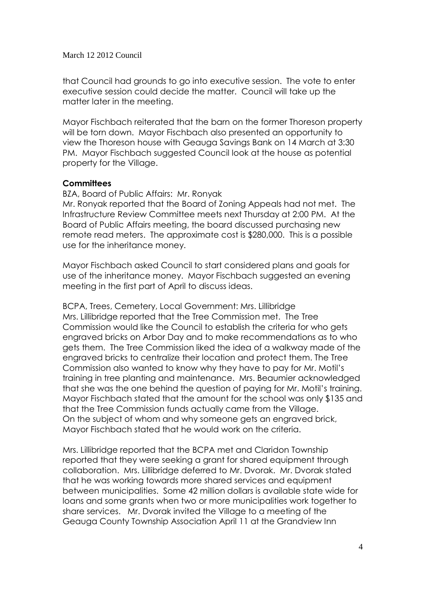that Council had grounds to go into executive session. The vote to enter executive session could decide the matter. Council will take up the matter later in the meeting.

Mayor Fischbach reiterated that the barn on the former Thoreson property will be torn down. Mayor Fischbach also presented an opportunity to view the Thoreson house with Geauga Savings Bank on 14 March at 3:30 PM. Mayor Fischbach suggested Council look at the house as potential property for the Village.

## **Committees**

BZA, Board of Public Affairs: Mr. Ronyak

Mr. Ronyak reported that the Board of Zoning Appeals had not met. The Infrastructure Review Committee meets next Thursday at 2:00 PM. At the Board of Public Affairs meeting, the board discussed purchasing new remote read meters. The approximate cost is \$280,000. This is a possible use for the inheritance money.

Mayor Fischbach asked Council to start considered plans and goals for use of the inheritance money. Mayor Fischbach suggested an evening meeting in the first part of April to discuss ideas.

BCPA, Trees, Cemetery, Local Government: Mrs. Lillibridge Mrs. Lillibridge reported that the Tree Commission met. The Tree Commission would like the Council to establish the criteria for who gets engraved bricks on Arbor Day and to make recommendations as to who gets them. The Tree Commission liked the idea of a walkway made of the engraved bricks to centralize their location and protect them. The Tree Commission also wanted to know why they have to pay for Mr. Motil's training in tree planting and maintenance. Mrs. Beaumier acknowledged that she was the one behind the question of paying for Mr. Motil's training. Mayor Fischbach stated that the amount for the school was only \$135 and that the Tree Commission funds actually came from the Village. On the subject of whom and why someone gets an engraved brick, Mayor Fischbach stated that he would work on the criteria.

Mrs. Lillibridge reported that the BCPA met and Claridon Township reported that they were seeking a grant for shared equipment through collaboration. Mrs. Lillibridge deferred to Mr. Dvorak. Mr. Dvorak stated that he was working towards more shared services and equipment between municipalities. Some 42 million dollars is available state wide for loans and some grants when two or more municipalities work together to share services. Mr. Dvorak invited the Village to a meeting of the Geauga County Township Association April 11 at the Grandview Inn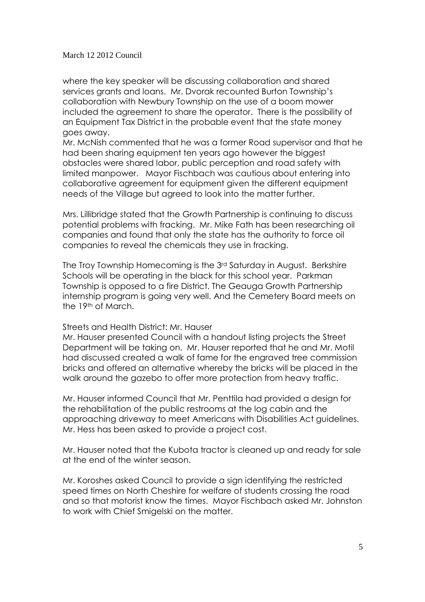where the key speaker will be discussing collaboration and shared services grants and loans. Mr. Dvorak recounted Burton Township's collaboration with Newbury Township on the use of a boom mower included the agreement to share the operator. There is the possibility of an Equipment Tax District in the probable event that the state money goes away.

Mr. McNish commented that he was a former Road supervisor and that he had been sharing equipment ten years ago however the biggest obstacles were shared labor, public perception and road safety with limited manpower. Mayor Fischbach was cautious about entering into collaborative agreement for equipment given the different equipment needs of the Village but agreed to look into the matter further.

Mrs. Lillibridge stated that the Growth Partnership is continuing to discuss potential problems with fracking. Mr. Mike Fath has been researching oil companies and found that only the state has the authority to force oil companies to reveal the chemicals they use in fracking.

The Troy Township Homecoming is the 3rd Saturday in August. Berkshire Schools will be operating in the black for this school year. Parkman Township is opposed to a fire District. The Geauga Growth Partnership internship program is going very well. And the Cemetery Board meets on the 19th of March.

#### Streets and Health District: Mr. Hauser

Mr. Hauser presented Council with a handout listing projects the Street Department will be taking on. Mr. Hauser reported that he and Mr. Motil had discussed created a walk of fame for the engraved tree commission bricks and offered an alternative whereby the bricks will be placed in the walk around the gazebo to offer more protection from heavy traffic.

Mr. Hauser informed Council that Mr. Penttila had provided a design for the rehabilitation of the public restrooms at the log cabin and the approaching driveway to meet Americans with Disabilities Act guidelines. Mr. Hess has been asked to provide a project cost.

Mr. Hauser noted that the Kubota tractor is cleaned up and ready for sale at the end of the winter season.

Mr. Koroshes asked Council to provide a sign identifying the restricted speed times on North Cheshire for welfare of students crossing the road and so that motorist know the times. Mayor Fischbach asked Mr. Johnston to work with Chief Smigelski on the matter.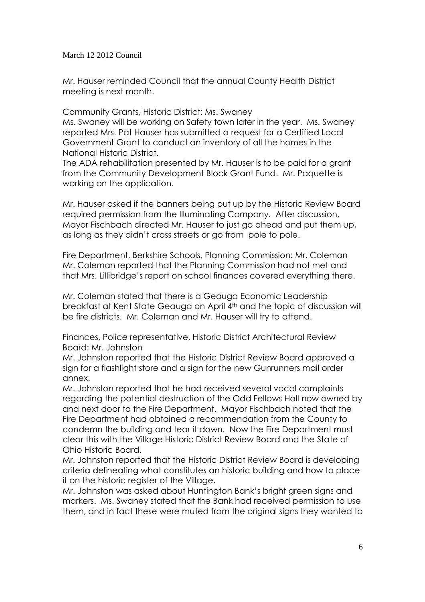Mr. Hauser reminded Council that the annual County Health District meeting is next month.

Community Grants, Historic District: Ms. Swaney

Ms. Swaney will be working on Safety town later in the year. Ms. Swaney reported Mrs. Pat Hauser has submitted a request for a Certified Local Government Grant to conduct an inventory of all the homes in the National Historic District.

The ADA rehabilitation presented by Mr. Hauser is to be paid for a grant from the Community Development Block Grant Fund. Mr. Paquette is working on the application.

Mr. Hauser asked if the banners being put up by the Historic Review Board required permission from the Illuminating Company. After discussion, Mayor Fischbach directed Mr. Hauser to just go ahead and put them up, as long as they didn't cross streets or go from pole to pole.

Fire Department, Berkshire Schools, Planning Commission: Mr. Coleman Mr. Coleman reported that the Planning Commission had not met and that Mrs. Lillibridge's report on school finances covered everything there.

Mr. Coleman stated that there is a Geauga Economic Leadership breakfast at Kent State Geauga on April 4th and the topic of discussion will be fire districts. Mr. Coleman and Mr. Hauser will try to attend.

Finances, Police representative, Historic District Architectural Review Board: Mr. Johnston

Mr. Johnston reported that the Historic District Review Board approved a sign for a flashlight store and a sign for the new Gunrunners mail order annex.

Mr. Johnston reported that he had received several vocal complaints regarding the potential destruction of the Odd Fellows Hall now owned by and next door to the Fire Department. Mayor Fischbach noted that the Fire Department had obtained a recommendation from the County to condemn the building and tear it down. Now the Fire Department must clear this with the Village Historic District Review Board and the State of Ohio Historic Board.

Mr. Johnston reported that the Historic District Review Board is developing criteria delineating what constitutes an historic building and how to place it on the historic register of the Village.

Mr. Johnston was asked about Huntington Bank's bright green signs and markers. Ms. Swaney stated that the Bank had received permission to use them, and in fact these were muted from the original signs they wanted to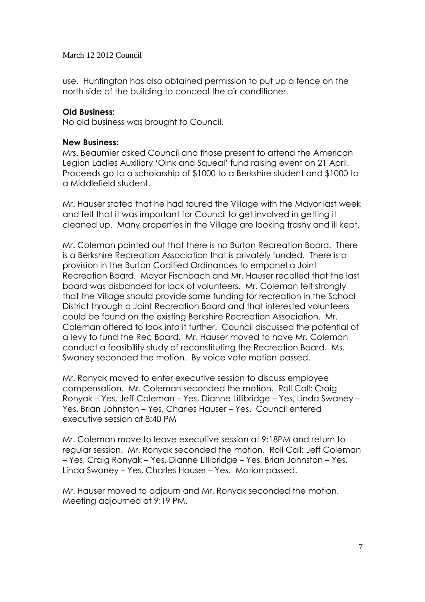use. Huntington has also obtained permission to put up a fence on the north side of the building to conceal the air conditioner.

### **Old Business:**

No old business was brought to Council.

#### **New Business:**

Mrs. Beaumier asked Council and those present to attend the American Legion Ladies Auxiliary 'Oink and Squeal' fund raising event on 21 April. Proceeds go to a scholarship of \$1000 to a Berkshire student and \$1000 to a Middlefield student.

Mr. Hauser stated that he had toured the Village with the Mayor last week and felt that it was important for Council to get involved in getting it cleaned up. Many properties in the Village are looking trashy and ill kept.

Mr. Coleman pointed out that there is no Burton Recreation Board. There is a Berkshire Recreation Association that is privately funded. There is a provision in the Burton Codified Ordinances to empanel a Joint Recreation Board. Mayor Fischbach and Mr. Hauser recalled that the last board was disbanded for lack of volunteers. Mr. Coleman felt strongly that the Village should provide some funding for recreation in the School District through a Joint Recreation Board and that interested volunteers could be found on the existing Berkshire Recreation Association. Mr. Coleman offered to look into it further. Council discussed the potential of a levy to fund the Rec Board. Mr. Hauser moved to have Mr. Coleman conduct a feasibility study of reconstituting the Recreation Board. Ms. Swaney seconded the motion. By voice vote motion passed.

Mr. Ronyak moved to enter executive session to discuss employee compensation. Mr. Coleman seconded the motion. Roll Call: Craig Ronyak – Yes, Jeff Coleman – Yes, Dianne Lillibridge – Yes, Linda Swaney – Yes, Brian Johnston – Yes, Charles Hauser – Yes. Council entered executive session at 8:40 PM

Mr. Coleman move to leave executive session at 9:18PM and return to regular session. Mr. Ronyak seconded the motion. Roll Call: Jeff Coleman – Yes, Craig Ronyak – Yes, Dianne Lillibridge – Yes, Brian Johnston – Yes, Linda Swaney – Yes, Charles Hauser – Yes. Motion passed.

Mr. Hauser moved to adjourn and Mr. Ronyak seconded the motion. Meeting adjourned at 9:19 PM.